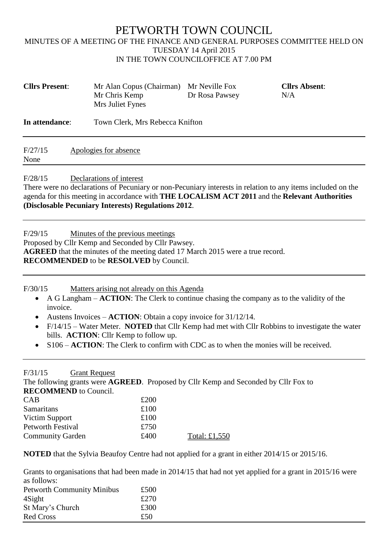## PETWORTH TOWN COUNCIL MINUTES OF A MEETING OF THE FINANCE AND GENERAL PURPOSES COMMITTEE HELD ON TUESDAY 14 April 2015 IN THE TOWN COUNCILOFFICE AT 7.00 PM

| <b>Cllrs Present:</b> | Mr Alan Copus (Chairman)<br>Mr Chris Kemp<br>Mrs Juliet Fynes | Mr Neville Fox<br>Dr Rosa Pawsey | <b>Cllrs Absent:</b><br>N/A |
|-----------------------|---------------------------------------------------------------|----------------------------------|-----------------------------|
| In attendance:        | Town Clerk, Mrs Rebecca Knifton                               |                                  |                             |
| F/27/15<br>None       | Apologies for absence                                         |                                  |                             |

F/28/15 Declarations of interest

There were no declarations of Pecuniary or non-Pecuniary interests in relation to any items included on the agenda for this meeting in accordance with **THE LOCALISM ACT 2011** and the **Relevant Authorities (Disclosable Pecuniary Interests) Regulations 2012**.

F/29/15 Minutes of the previous meetings

Proposed by Cllr Kemp and Seconded by Cllr Pawsey. **AGREED** that the minutes of the meeting dated 17 March 2015 were a true record. **RECOMMENDED** to be **RESOLVED** by Council.

F/30/15 Matters arising not already on this Agenda

- A G Langham **ACTION**: The Clerk to continue chasing the company as to the validity of the invoice.
- Austens Invoices **ACTION**: Obtain a copy invoice for 31/12/14.
- F/14/15 Water Meter. **NOTED** that Cllr Kemp had met with Cllr Robbins to investigate the water bills. **ACTION**: Cllr Kemp to follow up.
- S106 **ACTION**: The Clerk to confirm with CDC as to when the monies will be received.

F/31/15 Grant Request

The following grants were **AGREED**. Proposed by Cllr Kemp and Seconded by Cllr Fox to **RECOMMEND** to Council.

| <b>CAB</b>              | £200 |               |
|-------------------------|------|---------------|
| <b>Samaritans</b>       | £100 |               |
| Victim Support          | £100 |               |
| Petworth Festival       | £750 |               |
| <b>Community Garden</b> | £400 | Total: £1,550 |

**NOTED** that the Sylvia Beaufoy Centre had not applied for a grant in either 2014/15 or 2015/16.

Grants to organisations that had been made in 2014/15 that had not yet applied for a grant in 2015/16 were as follows:

| us tonoms.                        |      |
|-----------------------------------|------|
| <b>Petworth Community Minibus</b> | £500 |
| 4Sight                            | £270 |
| St Mary's Church                  | £300 |
| <b>Red Cross</b>                  | £50  |
|                                   |      |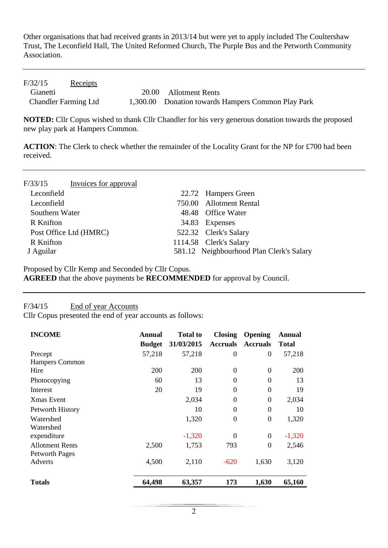Other organisations that had received grants in 2013/14 but were yet to apply included The Coultershaw Trust, The Leconfield Hall, The United Reformed Church, The Purple Bus and the Petworth Community Association.

| F/32/15                     | <u>Receipts</u> |                                                    |
|-----------------------------|-----------------|----------------------------------------------------|
| Gianetti                    |                 | 20.00 Allotment Rents                              |
| <b>Chandler Farming Ltd</b> |                 | 1,300.00 Donation towards Hampers Common Play Park |

**NOTED:** Cllr Copus wished to thank Cllr Chandler for his very generous donation towards the proposed new play park at Hampers Common.

**ACTION**: The Clerk to check whether the remainder of the Locality Grant for the NP for £700 had been received.

| F/33/15          | Invoices for approval  |       |                                          |
|------------------|------------------------|-------|------------------------------------------|
| Leconfield       |                        |       | 22.72 Hampers Green                      |
| Leconfield       |                        |       | 750.00 Allotment Rental                  |
| Southern Water   |                        |       | 48.48 Office Water                       |
| <b>R</b> Knifton |                        | 34.83 | Expenses                                 |
|                  | Post Office Ltd (HMRC) |       | 522.32 Clerk's Salary                    |
| <b>R</b> Knifton |                        |       | 1114.58 Clerk's Salary                   |
| J Aguilar        |                        |       | 581.12 Neighbourhood Plan Clerk's Salary |

Proposed by Cllr Kemp and Seconded by Cllr Copus.

**AGREED** that the above payments be **RECOMMENDED** for approval by Council.

## F/34/15 End of year Accounts

Cllr Copus presented the end of year accounts as follows:

| <b>INCOME</b>                                   | <b>Annual</b><br><b>Budget</b> | <b>Total to</b><br>31/03/2015 | <b>Closing</b><br><b>Accruals</b> | <b>Opening</b><br><b>Accruals</b> | <b>Annual</b><br>Total |
|-------------------------------------------------|--------------------------------|-------------------------------|-----------------------------------|-----------------------------------|------------------------|
| Precept                                         | 57,218                         | 57,218                        | $\theta$                          | $\overline{0}$                    | 57,218                 |
| Hampers Common                                  |                                |                               |                                   |                                   |                        |
| Hire                                            | <b>200</b>                     | 200                           | $\theta$                          | $\Omega$                          | 200                    |
| Photocopying                                    | 60                             | 13                            | $\theta$                          | $\Omega$                          | 13                     |
| Interest                                        | 20                             | 19                            | $\theta$                          | $\Omega$                          | 19                     |
| <b>Xmas Event</b>                               |                                | 2,034                         | $\Omega$                          | $\Omega$                          | 2,034                  |
| Petworth History                                |                                | 10                            | $\theta$                          | $\Omega$                          | 10                     |
| Watershed<br>Watershed                          |                                | 1,320                         | $\theta$                          | $\boldsymbol{0}$                  | 1,320                  |
| expenditure                                     |                                | $-1,320$                      | $\theta$                          | $\Omega$                          | $-1,320$               |
| <b>Allotment Rents</b><br><b>Petworth Pages</b> | 2,500                          | 1,753                         | 793                               | $\Omega$                          | 2,546                  |
| <b>Adverts</b>                                  | 4,500                          | 2,110                         | $-620$                            | 1,630                             | 3,120                  |
| <b>Totals</b>                                   | 64,498                         | 63,357                        | 173                               | 1,630                             | 65,160                 |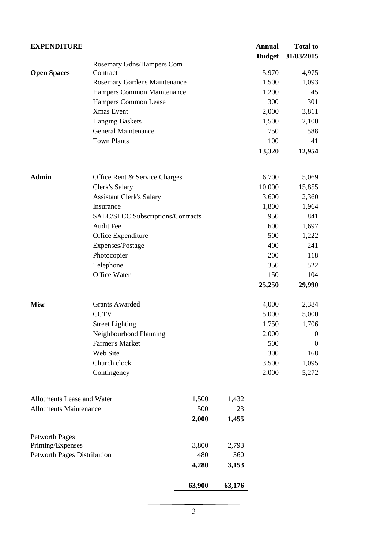| <b>EXPENDITURE</b>                 |                                          |        |        | <b>Annual</b> | <b>Total to</b> |
|------------------------------------|------------------------------------------|--------|--------|---------------|-----------------|
|                                    |                                          |        |        | <b>Budget</b> | 31/03/2015      |
|                                    | Rosemary Gdns/Hampers Com                |        |        |               |                 |
| <b>Open Spaces</b>                 | Contract                                 |        |        | 5,970         | 4,975           |
|                                    | Rosemary Gardens Maintenance             |        |        | 1,500         | 1,093           |
|                                    | Hampers Common Maintenance               |        |        | 1,200         | 45              |
|                                    | Hampers Common Lease                     |        |        | 300           | 301             |
|                                    | Xmas Event                               |        |        | 2,000         | 3,811           |
|                                    | <b>Hanging Baskets</b>                   |        |        | 1,500         | 2,100           |
|                                    | General Maintenance                      |        |        | 750           | 588             |
|                                    | <b>Town Plants</b>                       |        |        | 100           | 41              |
|                                    |                                          |        |        | 13,320        | 12,954          |
| <b>Admin</b>                       | Office Rent & Service Charges            |        |        | 6,700         | 5,069           |
|                                    | Clerk's Salary                           |        |        | 10,000        | 15,855          |
|                                    | <b>Assistant Clerk's Salary</b>          |        |        | 3,600         | 2,360           |
|                                    | Insurance                                |        |        | 1,800         | 1,964           |
|                                    | <b>SALC/SLCC Subscriptions/Contracts</b> |        |        | 950           | 841             |
|                                    | <b>Audit Fee</b>                         |        |        | 600           | 1,697           |
|                                    | Office Expenditure                       |        |        | 500           | 1,222           |
|                                    | Expenses/Postage                         |        |        | 400           | 241             |
|                                    | Photocopier                              |        |        | 200           | 118             |
|                                    | Telephone                                |        |        | 350           | 522             |
|                                    | Office Water                             |        |        | 150           | 104             |
|                                    |                                          |        |        | 25,250        | 29,990          |
| <b>Misc</b>                        | <b>Grants Awarded</b>                    |        |        | 4,000         | 2,384           |
|                                    | <b>CCTV</b>                              |        |        | 5,000         | 5,000           |
|                                    | <b>Street Lighting</b>                   |        |        | 1,750         | 1,706           |
|                                    | Neighbourhood Planning                   |        |        | 2,000         | $\mathbf{0}$    |
|                                    | Farmer's Market                          |        |        | 500           | $\mathbf{0}$    |
|                                    | Web Site                                 |        |        | 300           | 168             |
|                                    | Church clock                             |        |        | 3,500         | 1,095           |
|                                    | Contingency                              |        |        | 2,000         | 5,272           |
| Allotments Lease and Water         |                                          | 1,500  | 1,432  |               |                 |
| <b>Allotments Maintenance</b>      |                                          | 500    | 23     |               |                 |
|                                    |                                          | 2,000  | 1,455  |               |                 |
| <b>Petworth Pages</b>              |                                          |        |        |               |                 |
| Printing/Expenses                  |                                          | 3,800  | 2,793  |               |                 |
| <b>Petworth Pages Distribution</b> |                                          | 480    | 360    |               |                 |
|                                    |                                          | 4,280  | 3,153  |               |                 |
|                                    |                                          | 63,900 | 63,176 |               |                 |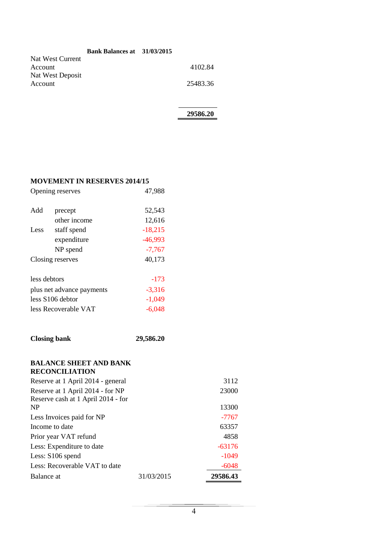|                  | <b>Bank Balances at</b> 31/03/2015 |          |
|------------------|------------------------------------|----------|
| Nat West Current |                                    |          |
| Account          |                                    | 4102.84  |
| Nat West Deposit |                                    |          |
| Account          |                                    | 25483.36 |
|                  |                                    |          |

**29586.20**

## **MOVEMENT IN RESERVES 2014/15**

|                           | Opening reserves            | 47,988              |
|---------------------------|-----------------------------|---------------------|
| Add                       | precept                     | 52,543              |
| Less                      | other income<br>staff spend | 12,616<br>$-18,215$ |
|                           | expenditure                 | $-46,993$           |
|                           | NP spend                    | $-7,767$            |
| Closing reserves          |                             | 40,173              |
| less debtors              |                             | $-173$              |
| plus net advance payments |                             | $-3,316$            |
| less S106 debtor          |                             | $-1,049$            |
| less Recoverable VAT      |                             | -6.048              |

| <b>Closing bank</b> | 29,586.20 |
|---------------------|-----------|
|---------------------|-----------|

## **BALANCE SHEET AND BANK RECONCILIATION**

| Reserve at 1 April 2014 - general  |            | 3112     |
|------------------------------------|------------|----------|
| Reserve at 1 April 2014 - for NP   |            | 23000    |
| Reserve cash at 1 April 2014 - for |            |          |
| N <sub>P</sub>                     |            | 13300    |
| Less Invoices paid for NP          |            | $-7767$  |
| Income to date                     |            | 63357    |
| Prior year VAT refund              |            | 4858     |
| Less: Expenditure to date          |            | $-63176$ |
| Less: S106 spend                   |            | $-1049$  |
| Less: Recoverable VAT to date      |            | $-6048$  |
| Balance at                         | 31/03/2015 | 29586.43 |